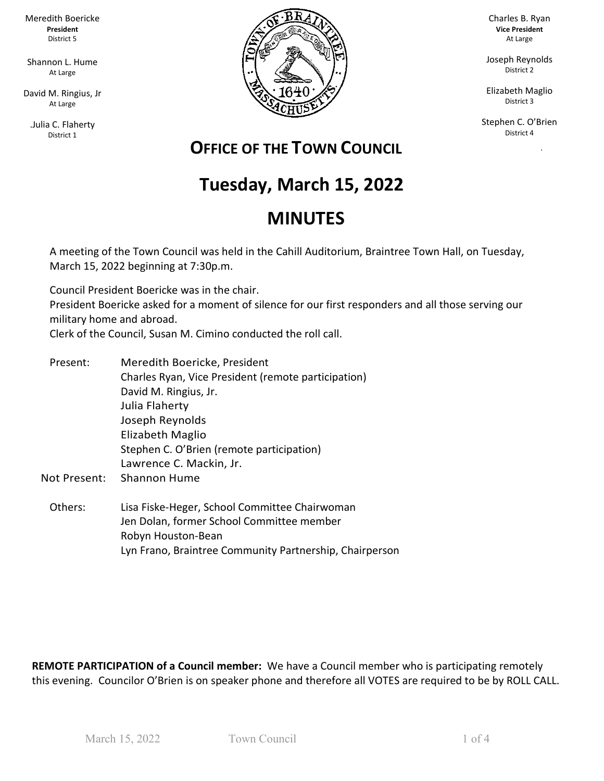Meredith Boericke **President** District 5

Shannon L. Hume At Large

David M. Ringius, Jr At Large

.Julia C. Flaherty District 1



Charles B. Ryan **Vice President** At Large

Joseph Reynolds District 2

Elizabeth Maglio District 3

Stephen C. O'Brien District 4

ka Pangka

## **OFFICE OF THE TOWN COUNCIL**

# **Tuesday, March 15, 2022**

# **MINUTES**

A meeting of the Town Council was held in the Cahill Auditorium, Braintree Town Hall, on Tuesday, March 15, 2022 beginning at 7:30p.m.

Council President Boericke was in the chair.

President Boericke asked for a moment of silence for our first responders and all those serving our military home and abroad.

Clerk of the Council, Susan M. Cimino conducted the roll call.

- Present: Meredith Boericke, President Charles Ryan, Vice President (remote participation) David M. Ringius, Jr. Julia Flaherty Joseph Reynolds Elizabeth Maglio Stephen C. O'Brien (remote participation) Lawrence C. Mackin, Jr.
- Not Present: Shannon Hume
	- Others: Lisa Fiske-Heger, School Committee Chairwoman Jen Dolan, former School Committee member Robyn Houston-Bean Lyn Frano, Braintree Community Partnership, Chairperson

**REMOTE PARTICIPATION of a Council member:** We have a Council member who is participating remotely this evening. Councilor O'Brien is on speaker phone and therefore all VOTES are required to be by ROLL CALL.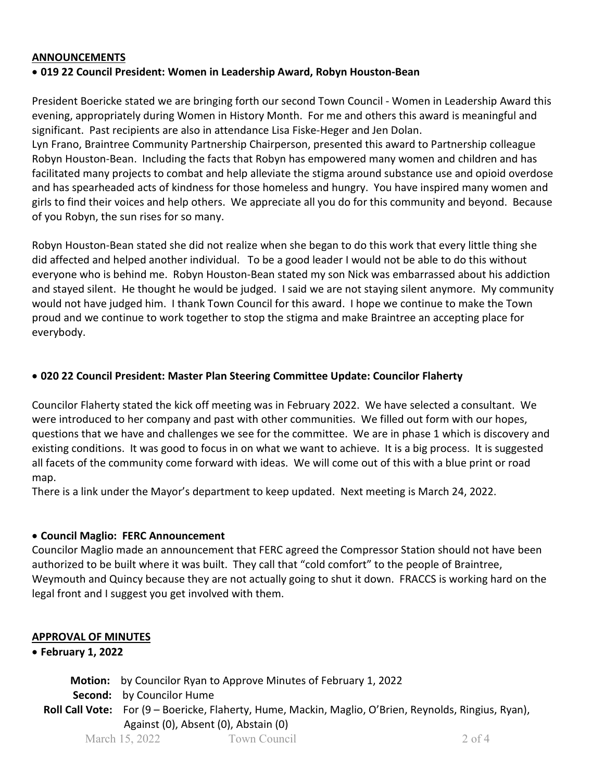#### **ANNOUNCEMENTS**

#### • **019 22 Council President: Women in Leadership Award, Robyn Houston-Bean**

President Boericke stated we are bringing forth our second Town Council - Women in Leadership Award this evening, appropriately during Women in History Month. For me and others this award is meaningful and significant. Past recipients are also in attendance Lisa Fiske-Heger and Jen Dolan.

Lyn Frano, Braintree Community Partnership Chairperson, presented this award to Partnership colleague Robyn Houston-Bean. Including the facts that Robyn has empowered many women and children and has facilitated many projects to combat and help alleviate the stigma around substance use and opioid overdose and has spearheaded acts of kindness for those homeless and hungry. You have inspired many women and girls to find their voices and help others. We appreciate all you do for this community and beyond. Because of you Robyn, the sun rises for so many.

Robyn Houston-Bean stated she did not realize when she began to do this work that every little thing she did affected and helped another individual. To be a good leader I would not be able to do this without everyone who is behind me. Robyn Houston-Bean stated my son Nick was embarrassed about his addiction and stayed silent. He thought he would be judged. I said we are not staying silent anymore. My community would not have judged him. I thank Town Council for this award. I hope we continue to make the Town proud and we continue to work together to stop the stigma and make Braintree an accepting place for everybody.

#### • **020 22 Council President: Master Plan Steering Committee Update: Councilor Flaherty**

Councilor Flaherty stated the kick off meeting was in February 2022. We have selected a consultant. We were introduced to her company and past with other communities. We filled out form with our hopes, questions that we have and challenges we see for the committee. We are in phase 1 which is discovery and existing conditions. It was good to focus in on what we want to achieve. It is a big process. It is suggested all facets of the community come forward with ideas. We will come out of this with a blue print or road map.

There is a link under the Mayor's department to keep updated. Next meeting is March 24, 2022.

#### • **Council Maglio: FERC Announcement**

Councilor Maglio made an announcement that FERC agreed the Compressor Station should not have been authorized to be built where it was built. They call that "cold comfort" to the people of Braintree, Weymouth and Quincy because they are not actually going to shut it down. FRACCS is working hard on the legal front and I suggest you get involved with them.

#### **APPROVAL OF MINUTES**

#### • **February 1, 2022**

 **Motion:** by Councilor Ryan to Approve Minutes of February 1, 2022

 **Second:** by Councilor Hume

**Roll Call Vote:** For (9 – Boericke, Flaherty, Hume, Mackin, Maglio, O'Brien, Reynolds, Ringius, Ryan), Against (0), Absent (0), Abstain (0)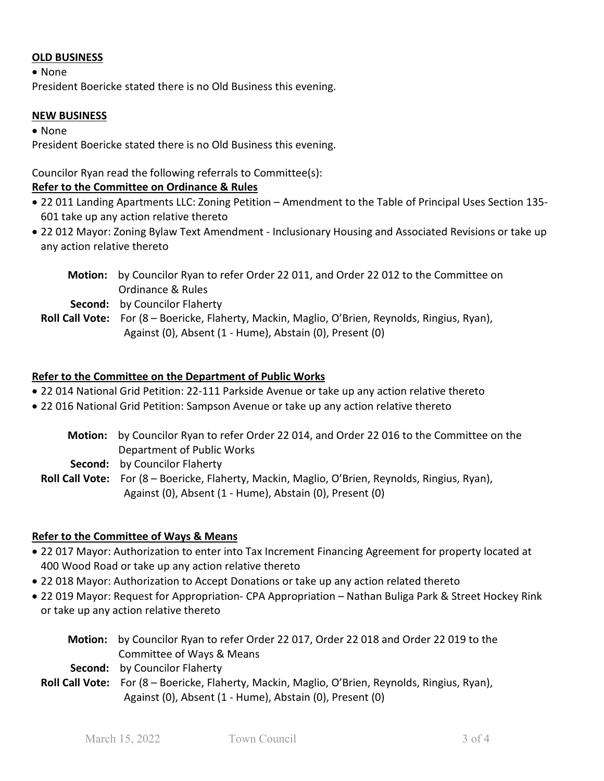#### **OLD BUSINESS**

• None

President Boericke stated there is no Old Business this evening.

#### **NEW BUSINESS**

• None

President Boericke stated there is no Old Business this evening.

### Councilor Ryan read the following referrals to Committee(s):

#### **Refer to the Committee on Ordinance & Rules**

- 22 011 Landing Apartments LLC: Zoning Petition Amendment to the Table of Principal Uses Section 135- 601 take up any action relative thereto
- 22 012 Mayor: Zoning Bylaw Text Amendment Inclusionary Housing and Associated Revisions or take up any action relative thereto
	- **Motion:** by Councilor Ryan to refer Order 22 011, and Order 22 012 to the Committee on Ordinance & Rules

 **Second:** by Councilor Flaherty

**Roll Call Vote:** For (8 – Boericke, Flaherty, Mackin, Maglio, O'Brien, Reynolds, Ringius, Ryan), Against (0), Absent (1 - Hume), Abstain (0), Present (0)

#### **Refer to the Committee on the Department of Public Works**

- 22 014 National Grid Petition: 22-111 Parkside Avenue or take up any action relative thereto
- 22 016 National Grid Petition: Sampson Avenue or take up any action relative thereto
	- **Motion:** by Councilor Ryan to refer Order 22 014, and Order 22 016 to the Committee on the Department of Public Works  **Second:** by Councilor Flaherty **Roll Call Vote:** For (8 – Boericke, Flaherty, Mackin, Maglio, O'Brien, Reynolds, Ringius, Ryan), Against (0), Absent (1 - Hume), Abstain (0), Present (0)

#### **Refer to the Committee of Ways & Means**

- 22 017 Mayor: Authorization to enter into Tax Increment Financing Agreement for property located at 400 Wood Road or take up any action relative thereto
- 22 018 Mayor: Authorization to Accept Donations or take up any action related thereto
- 22 019 Mayor: Request for Appropriation- CPA Appropriation Nathan Buliga Park & Street Hockey Rink or take up any action relative thereto

| Motion: by Councilor Ryan to refer Order 22 017, Order 22 018 and Order 22 019 to the                  |
|--------------------------------------------------------------------------------------------------------|
| Committee of Ways & Means                                                                              |
| <b>Second:</b> by Councilor Flaherty                                                                   |
| <b>Roll Call Vote:</b> For (8 – Boericke, Flaherty, Mackin, Maglio, O'Brien, Reynolds, Ringius, Ryan), |
| Against (0), Absent (1 - Hume), Abstain (0), Present (0)                                               |